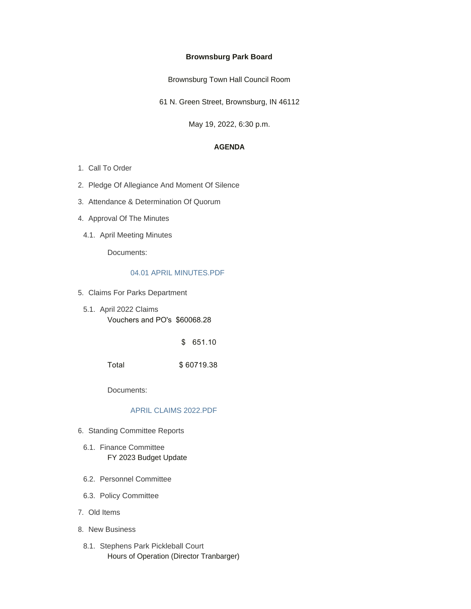## **Brownsburg Park Board**

Brownsburg Town Hall Council Room

61 N. Green Street, Brownsburg, IN 46112

May 19, 2022, 6:30 p.m.

### **AGENDA**

- 1. Call To Order
- 2. Pledge Of Allegiance And Moment Of Silence
- 3. Attendance & Determination Of Quorum
- 4. Approval Of The Minutes
- 4.1. April Meeting Minutes

Documents:

#### [04.01 APRIL MINUTES.PDF](https://www.brownsburg.org/AgendaCenter/ViewFile/Item/463?fileID=4528)

- 5. Claims For Parks Department
	- 5.1. April 2022 Claims Vouchers and PO's \$60068.28

\$ 651.10

Total \$ 60719.38

Documents:

## [APRIL CLAIMS 2022.PDF](https://www.brownsburg.org/AgendaCenter/ViewFile/Item/388?fileID=4490)

- 6. Standing Committee Reports
	- 6.1. Finance Committee FY 2023 Budget Update
- 6.2. Personnel Committee
- 6.3. Policy Committee
- Old Items 7.
- 8. New Business
- 8.1. Stephens Park Pickleball Court Hours of Operation (Director Tranbarger)